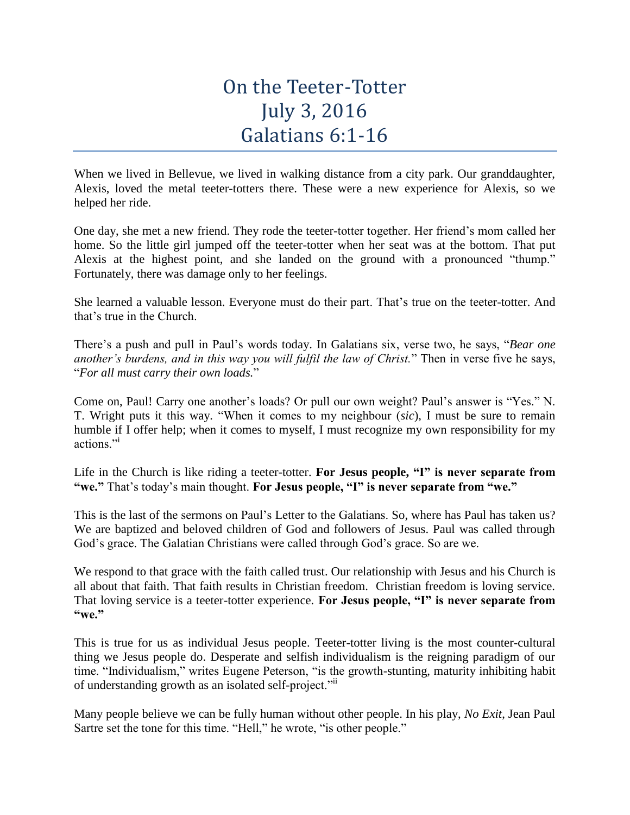## On the Teeter-Totter July 3, 2016 Galatians 6:1-16

When we lived in Bellevue, we lived in walking distance from a city park. Our granddaughter, Alexis, loved the metal teeter-totters there. These were a new experience for Alexis, so we helped her ride.

One day, she met a new friend. They rode the teeter-totter together. Her friend's mom called her home. So the little girl jumped off the teeter-totter when her seat was at the bottom. That put Alexis at the highest point, and she landed on the ground with a pronounced "thump." Fortunately, there was damage only to her feelings.

She learned a valuable lesson. Everyone must do their part. That's true on the teeter-totter. And that's true in the Church.

There's a push and pull in Paul's words today. In Galatians six, verse two, he says, "*Bear one another's burdens, and in this way you will fulfil the law of Christ.*" Then in verse five he says, "*For all must carry their own loads.*"

Come on, Paul! Carry one another's loads? Or pull our own weight? Paul's answer is "Yes." N. T. Wright puts it this way. "When it comes to my neighbour (*sic*), I must be sure to remain humble if I offer help; when it comes to myself, I must recognize my own responsibility for my actions."

Life in the Church is like riding a teeter-totter. **For Jesus people, "I" is never separate from "we."** That's today's main thought. **For Jesus people, "I" is never separate from "we."**

This is the last of the sermons on Paul's Letter to the Galatians. So, where has Paul has taken us? We are baptized and beloved children of God and followers of Jesus. Paul was called through God's grace. The Galatian Christians were called through God's grace. So are we.

We respond to that grace with the faith called trust. Our relationship with Jesus and his Church is all about that faith. That faith results in Christian freedom. Christian freedom is loving service. That loving service is a teeter-totter experience. **For Jesus people, "I" is never separate from "we."**

This is true for us as individual Jesus people. Teeter-totter living is the most counter-cultural thing we Jesus people do. Desperate and selfish individualism is the reigning paradigm of our time. "Individualism," writes Eugene Peterson, "is the growth-stunting, maturity inhibiting habit of understanding growth as an isolated self-project."<sup>ii</sup>

Many people believe we can be fully human without other people. In his play, *No Exit*, Jean Paul Sartre set the tone for this time. "Hell," he wrote, "is other people."